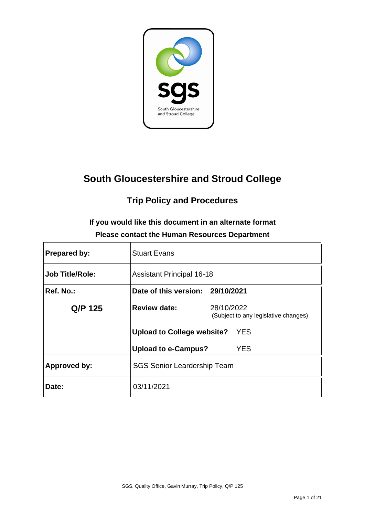

# **South Gloucestershire and Stroud College**

# **Trip Policy and Procedures**

**If you would like this document in an alternate format Please contact the Human Resources Department**

| <b>Prepared by:</b>    | <b>Stuart Evans</b>                |                                                    |  |
|------------------------|------------------------------------|----------------------------------------------------|--|
| <b>Job Title/Role:</b> | <b>Assistant Principal 16-18</b>   |                                                    |  |
| Ref. No.:              | Date of this version: 29/10/2021   |                                                    |  |
| Q/P 125                | <b>Review date:</b>                | 28/10/2022<br>(Subject to any legislative changes) |  |
|                        | Upload to College website?         | <b>YES</b>                                         |  |
|                        | <b>Upload to e-Campus?</b>         | YES                                                |  |
| <b>Approved by:</b>    | <b>SGS Senior Leardership Team</b> |                                                    |  |
| Date:                  | 03/11/2021                         |                                                    |  |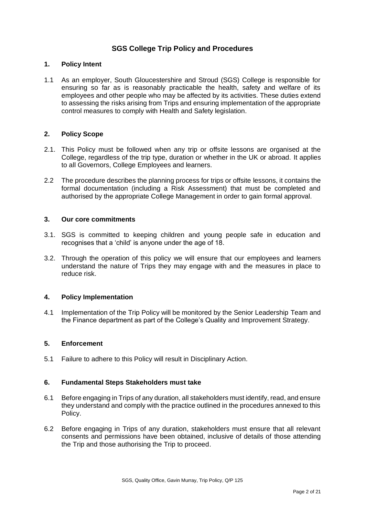## **SGS College Trip Policy and Procedures**

## **1. Policy Intent**

1.1 As an employer, South Gloucestershire and Stroud (SGS) College is responsible for ensuring so far as is reasonably practicable the health, safety and welfare of its employees and other people who may be affected by its activities. These duties extend to assessing the risks arising from Trips and ensuring implementation of the appropriate control measures to comply with Health and Safety legislation.

#### **2. Policy Scope**

- 2.1. This Policy must be followed when any trip or offsite lessons are organised at the College, regardless of the trip type, duration or whether in the UK or abroad. It applies to all Governors, College Employees and learners.
- 2.2 The procedure describes the planning process for trips or offsite lessons, it contains the formal documentation (including a Risk Assessment) that must be completed and authorised by the appropriate College Management in order to gain formal approval.

### **3. Our core commitments**

- 3.1. SGS is committed to keeping children and young people safe in education and recognises that a 'child' is anyone under the age of 18.
- 3.2. Through the operation of this policy we will ensure that our employees and learners understand the nature of Trips they may engage with and the measures in place to reduce risk.

#### **4. Policy Implementation**

4.1 Implementation of the Trip Policy will be monitored by the Senior Leadership Team and the Finance department as part of the College's Quality and Improvement Strategy.

#### **5. Enforcement**

5.1 Failure to adhere to this Policy will result in Disciplinary Action.

#### **6. Fundamental Steps Stakeholders must take**

- 6.1 Before engaging in Trips of any duration, all stakeholders must identify, read, and ensure they understand and comply with the practice outlined in the procedures annexed to this Policy.
- 6.2 Before engaging in Trips of any duration, stakeholders must ensure that all relevant consents and permissions have been obtained, inclusive of details of those attending the Trip and those authorising the Trip to proceed.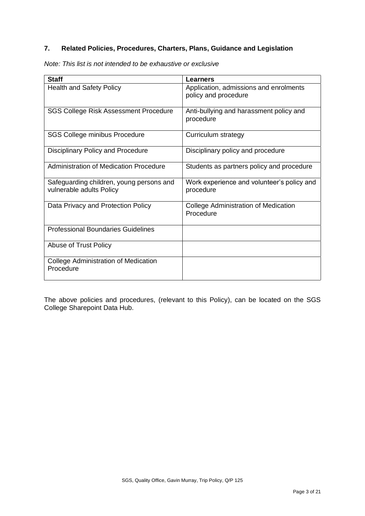# **7. Related Policies, Procedures, Charters, Plans, Guidance and Legislation**

| Note: This list is not intended to be exhaustive or exclusive |  |  |  |  |  |  |  |  |  |  |
|---------------------------------------------------------------|--|--|--|--|--|--|--|--|--|--|
|---------------------------------------------------------------|--|--|--|--|--|--|--|--|--|--|

| <b>Staff</b>                                                         | Learners                                                       |
|----------------------------------------------------------------------|----------------------------------------------------------------|
| <b>Health and Safety Policy</b>                                      | Application, admissions and enrolments<br>policy and procedure |
| <b>SGS College Risk Assessment Procedure</b>                         | Anti-bullying and harassment policy and<br>procedure           |
| SGS College minibus Procedure                                        | Curriculum strategy                                            |
| <b>Disciplinary Policy and Procedure</b>                             | Disciplinary policy and procedure                              |
| <b>Administration of Medication Procedure</b>                        | Students as partners policy and procedure                      |
| Safeguarding children, young persons and<br>vulnerable adults Policy | Work experience and volunteer's policy and<br>procedure        |
| Data Privacy and Protection Policy                                   | <b>College Administration of Medication</b><br>Procedure       |
| <b>Professional Boundaries Guidelines</b>                            |                                                                |
| Abuse of Trust Policy                                                |                                                                |
| <b>College Administration of Medication</b><br>Procedure             |                                                                |

The above policies and procedures, (relevant to this Policy), can be located on the SGS College Sharepoint Data Hub.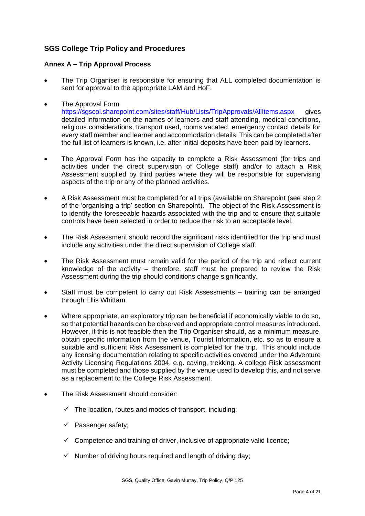## **SGS College Trip Policy and Procedures**

## **Annex A – Trip Approval Process**

• The Trip Organiser is responsible for ensuring that ALL completed documentation is sent for approval to the appropriate LAM and HoF.

#### • The Approval Form

<https://sgscol.sharepoint.com/sites/staff/Hub/Lists/TripApprovals/AllItems.aspx> gives detailed information on the names of learners and staff attending, medical conditions, religious considerations, transport used, rooms vacated, emergency contact details for every staff member and learner and accommodation details. This can be completed after the full list of learners is known, i.e. after initial deposits have been paid by learners.

- The Approval Form has the capacity to complete a Risk Assessment (for trips and activities under the direct supervision of College staff) and/or to attach a Risk Assessment supplied by third parties where they will be responsible for supervising aspects of the trip or any of the planned activities.
- A Risk Assessment must be completed for all trips (available on Sharepoint (see step 2 of the 'organising a trip' section on Sharepoint). The object of the Risk Assessment is to identify the foreseeable hazards associated with the trip and to ensure that suitable controls have been selected in order to reduce the risk to an acceptable level.
- The Risk Assessment should record the significant risks identified for the trip and must include any activities under the direct supervision of College staff.
- The Risk Assessment must remain valid for the period of the trip and reflect current knowledge of the activity – therefore, staff must be prepared to review the Risk Assessment during the trip should conditions change significantly.
- Staff must be competent to carry out Risk Assessments training can be arranged through Ellis Whittam.
- Where appropriate, an exploratory trip can be beneficial if economically viable to do so, so that potential hazards can be observed and appropriate control measures introduced. However, if this is not feasible then the Trip Organiser should, as a minimum measure, obtain specific information from the venue, Tourist Information, etc. so as to ensure a suitable and sufficient Risk Assessment is completed for the trip. This should include any licensing documentation relating to specific activities covered under the Adventure Activity Licensing Regulations 2004, e.g. caving, trekking. A college Risk assessment must be completed and those supplied by the venue used to develop this, and not serve as a replacement to the College Risk Assessment.
- The Risk Assessment should consider:
	- $\checkmark$  The location, routes and modes of transport, including:
	- $\checkmark$  Passenger safety;
	- $\checkmark$  Competence and training of driver, inclusive of appropriate valid licence;
	- $\checkmark$  Number of driving hours required and length of driving day;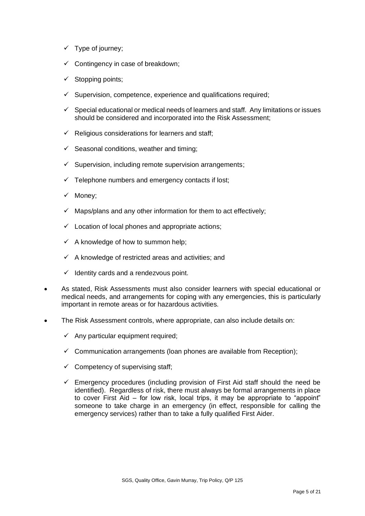- ✓ Type of journey;
- $\checkmark$  Contingency in case of breakdown;
- ✓ Stopping points;
- $\checkmark$  Supervision, competence, experience and qualifications required;
- $\checkmark$  Special educational or medical needs of learners and staff. Any limitations or issues should be considered and incorporated into the Risk Assessment;
- $\checkmark$  Religious considerations for learners and staff;
- $\checkmark$  Seasonal conditions, weather and timing;
- $\checkmark$  Supervision, including remote supervision arrangements;
- $\checkmark$  Telephone numbers and emergency contacts if lost;
- ✓ Money;
- $\checkmark$  Maps/plans and any other information for them to act effectively;
- $\checkmark$  Location of local phones and appropriate actions;
- $\checkmark$  A knowledge of how to summon help;
- $\checkmark$  A knowledge of restricted areas and activities; and
- $\checkmark$  Identity cards and a rendezvous point.
- As stated, Risk Assessments must also consider learners with special educational or medical needs, and arrangements for coping with any emergencies, this is particularly important in remote areas or for hazardous activities.
- The Risk Assessment controls, where appropriate, can also include details on:
	- $\checkmark$  Any particular equipment required;
	- $\checkmark$  Communication arrangements (loan phones are available from Reception);
	- $\checkmark$  Competency of supervising staff;
	- $\checkmark$  Emergency procedures (including provision of First Aid staff should the need be identified). Regardless of risk, there must always be formal arrangements in place to cover First Aid – for low risk, local trips, it may be appropriate to "appoint" someone to take charge in an emergency (in effect, responsible for calling the emergency services) rather than to take a fully qualified First Aider.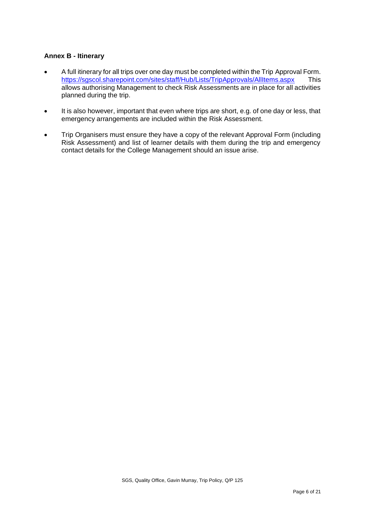## **Annex B - Itinerary**

- A full itinerary for all trips over one day must be completed within the Trip Approval Form. <https://sgscol.sharepoint.com/sites/staff/Hub/Lists/TripApprovals/AllItems.aspx>This allows authorising Management to check Risk Assessments are in place for all activities planned during the trip.
- It is also however, important that even where trips are short, e.g. of one day or less, that emergency arrangements are included within the Risk Assessment.
- Trip Organisers must ensure they have a copy of the relevant Approval Form (including Risk Assessment) and list of learner details with them during the trip and emergency contact details for the College Management should an issue arise.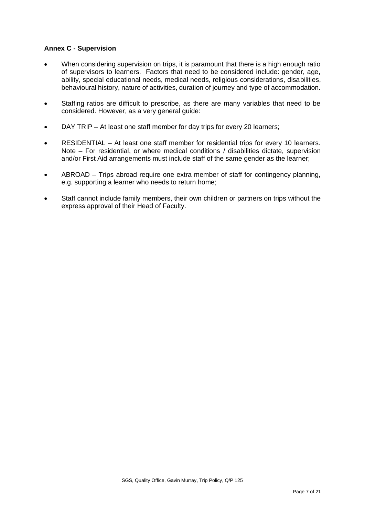## **Annex C - Supervision**

- When considering supervision on trips, it is paramount that there is a high enough ratio of supervisors to learners. Factors that need to be considered include: gender, age, ability, special educational needs, medical needs, religious considerations, disabilities, behavioural history, nature of activities, duration of journey and type of accommodation.
- Staffing ratios are difficult to prescribe, as there are many variables that need to be considered. However, as a very general guide:
- DAY TRIP At least one staff member for day trips for every 20 learners;
- RESIDENTIAL At least one staff member for residential trips for every 10 learners. Note – For residential, or where medical conditions / disabilities dictate, supervision and/or First Aid arrangements must include staff of the same gender as the learner;
- ABROAD Trips abroad require one extra member of staff for contingency planning, e.g. supporting a learner who needs to return home;
- Staff cannot include family members, their own children or partners on trips without the express approval of their Head of Faculty.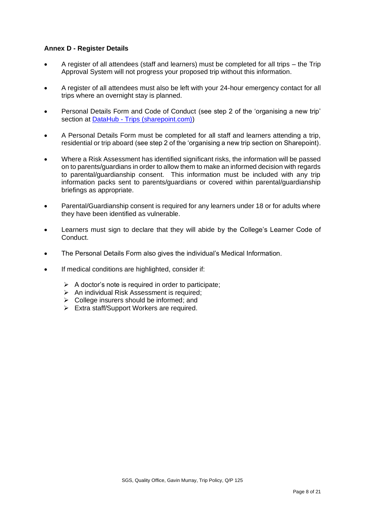## **Annex D - Register Details**

- A register of all attendees (staff and learners) must be completed for all trips the Trip Approval System will not progress your proposed trip without this information.
- A register of all attendees must also be left with your 24-hour emergency contact for all trips where an overnight stay is planned.
- Personal Details Form and Code of Conduct (see step 2 of the 'organising a new trip' section at DataHub - [Trips \(sharepoint.com\)\)](https://sgscol.sharepoint.com/sites/staff/Hub/SitePages/Trips.aspx)
- A Personal Details Form must be completed for all staff and learners attending a trip, residential or trip aboard (see step 2 of the 'organising a new trip section on Sharepoint).
- Where a Risk Assessment has identified significant risks, the information will be passed on to parents/guardians in order to allow them to make an informed decision with regards to parental/guardianship consent. This information must be included with any trip information packs sent to parents/guardians or covered within parental/guardianship briefings as appropriate.
- Parental/Guardianship consent is required for any learners under 18 or for adults where they have been identified as vulnerable.
- Learners must sign to declare that they will abide by the College's Learner Code of Conduct.
- The Personal Details Form also gives the individual's Medical Information.
- If medical conditions are highlighted, consider if:
	- $\triangleright$  A doctor's note is required in order to participate;
	- ➢ An individual Risk Assessment is required;
	- $\triangleright$  College insurers should be informed; and
	- ➢ Extra staff/Support Workers are required.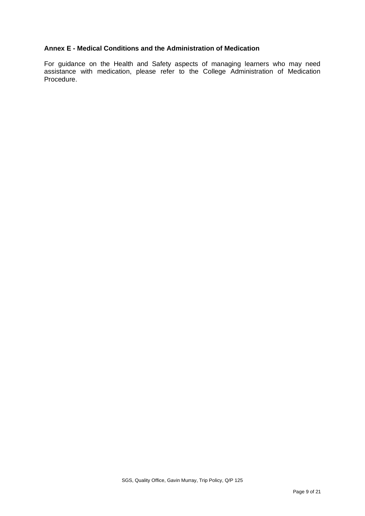## **Annex E - Medical Conditions and the Administration of Medication**

For guidance on the Health and Safety aspects of managing learners who may need assistance with medication, please refer to the College Administration of Medication Procedure.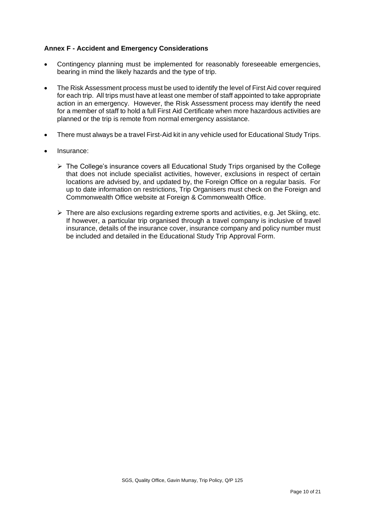## **Annex F - Accident and Emergency Considerations**

- Contingency planning must be implemented for reasonably foreseeable emergencies, bearing in mind the likely hazards and the type of trip.
- The Risk Assessment process must be used to identify the level of First Aid cover required for each trip. All trips must have at least one member of staff appointed to take appropriate action in an emergency. However, the Risk Assessment process may identify the need for a member of staff to hold a full First Aid Certificate when more hazardous activities are planned or the trip is remote from normal emergency assistance.
- There must always be a travel First-Aid kit in any vehicle used for Educational Study Trips.
- Insurance:
	- $\triangleright$  The College's insurance covers all Educational Study Trips organised by the College that does not include specialist activities, however, exclusions in respect of certain locations are advised by, and updated by, the Foreign Office on a regular basis. For up to date information on restrictions, Trip Organisers must check on the Foreign and Commonwealth Office website at Foreign & Commonwealth Office.
	- $\triangleright$  There are also exclusions regarding extreme sports and activities, e.g. Jet Skiing, etc. If however, a particular trip organised through a travel company is inclusive of travel insurance, details of the insurance cover, insurance company and policy number must be included and detailed in the Educational Study Trip Approval Form.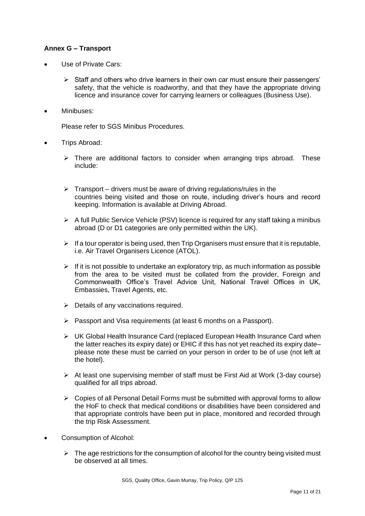## **Annex G – Transport**

- Use of Private Cars:
	- $\triangleright$  Staff and others who drive learners in their own car must ensure their passengers' safety, that the vehicle is roadworthy, and that they have the appropriate driving licence and insurance cover for carrying learners or colleagues (Business Use).
- Minibuses:

Please refer to SGS Minibus Procedures.

- Trips Abroad:
	- $\triangleright$  There are additional factors to consider when arranging trips abroad. These include:
	- $\triangleright$  Transport drivers must be aware of driving regulations/rules in the countries being visited and those on route, including driver's hours and record keeping. Information is available at Driving Abroad.
	- $\triangleright$  A full Public Service Vehicle (PSV) licence is required for any staff taking a minibus abroad (D or D1 categories are only permitted within the UK).
	- $\triangleright$  If a tour operator is being used, then Trip Organisers must ensure that it is reputable, i.e. Air Travel Organisers Licence (ATOL).
	- $\triangleright$  If it is not possible to undertake an exploratory trip, as much information as possible from the area to be visited must be collated from the provider, Foreign and Commonwealth Office's Travel Advice Unit, National Travel Offices in UK, Embassies, Travel Agents, etc.
	- $\triangleright$  Details of any vaccinations required.
	- ➢ Passport and Visa requirements (at least 6 months on a Passport).
	- ➢ UK Global Health Insurance Card (replaced European Health Insurance Card when the latter reaches its expiry date) or EHIC if this has not yet reached its expiry date– please note these must be carried on your person in order to be of use (not left at the hotel).
	- $\triangleright$  At least one supervising member of staff must be First Aid at Work (3-day course) qualified for all trips abroad.
	- ➢ Copies of all Personal Detail Forms must be submitted with approval forms to allow the HoF to check that medical conditions or disabilities have been considered and that appropriate controls have been put in place, monitored and recorded through the trip Risk Assessment.
- Consumption of Alcohol:
	- $\triangleright$  The age restrictions for the consumption of alcohol for the country being visited must be observed at all times.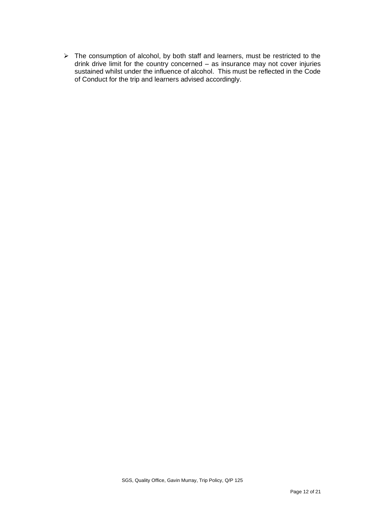➢ The consumption of alcohol, by both staff and learners, must be restricted to the drink drive limit for the country concerned – as insurance may not cover injuries sustained whilst under the influence of alcohol. This must be reflected in the Code of Conduct for the trip and learners advised accordingly.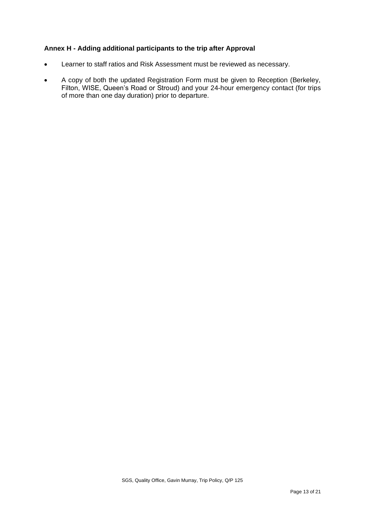## **Annex H - Adding additional participants to the trip after Approval**

- Learner to staff ratios and Risk Assessment must be reviewed as necessary.
- A copy of both the updated Registration Form must be given to Reception (Berkeley, Filton, WISE, Queen's Road or Stroud) and your 24-hour emergency contact (for trips of more than one day duration) prior to departure.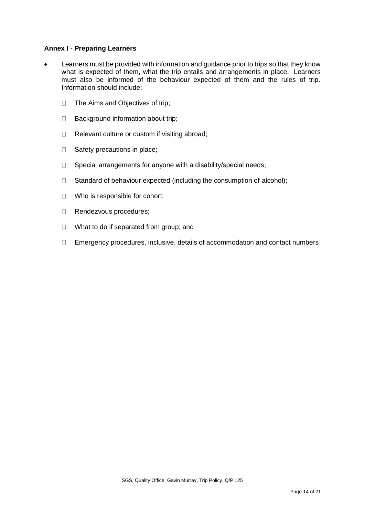#### **Annex I - Preparing Learners**

- Learners must be provided with information and guidance prior to trips so that they know what is expected of them, what the trip entails and arrangements in place. Learners must also be informed of the behaviour expected of them and the rules of trip. Information should include:
	- $\Box$ The Aims and Objectives of trip;
	- $\Box$ Background information about trip;
	- Relevant culture or custom if visiting abroad;  $\Box$
	- $\Box$ Safety precautions in place;
	- $\Box$ Special arrangements for anyone with a disability/special needs;
	- Standard of behaviour expected (including the consumption of alcohol);  $\Box$
	- Who is responsible for cohort;  $\Box$
	- Rendezvous procedures;  $\Box$
	- $\Box$ What to do if separated from group; and
	- Emergency procedures, inclusive. details of accommodation and contact numbers. $\Box$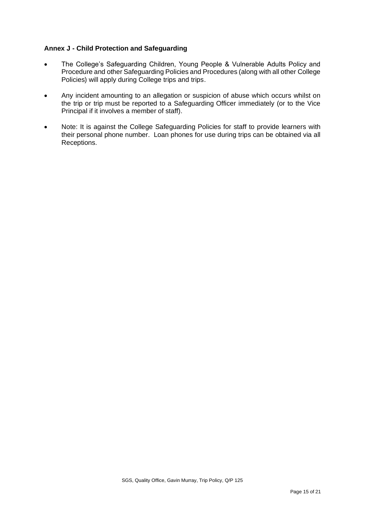## **Annex J - Child Protection and Safeguarding**

- The College's Safeguarding Children, Young People & Vulnerable Adults Policy and Procedure and other Safeguarding Policies and Procedures (along with all other College Policies) will apply during College trips and trips.
- Any incident amounting to an allegation or suspicion of abuse which occurs whilst on the trip or trip must be reported to a Safeguarding Officer immediately (or to the Vice Principal if it involves a member of staff).
- Note: It is against the College Safeguarding Policies for staff to provide learners with their personal phone number. Loan phones for use during trips can be obtained via all Receptions.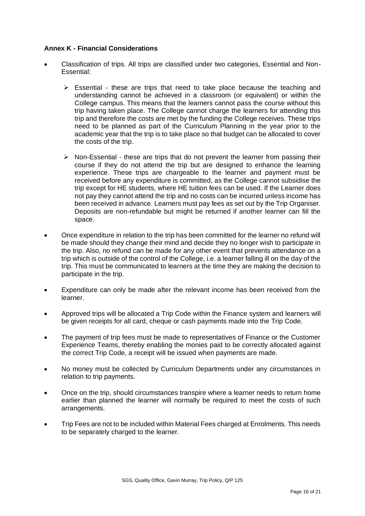#### **Annex K - Financial Considerations**

- Classification of trips. All trips are classified under two categories, Essential and Non-Essential:
	- $\triangleright$  Essential these are trips that need to take place because the teaching and understanding cannot be achieved in a classroom (or equivalent) or within the College campus. This means that the learners cannot pass the course without this trip having taken place. The College cannot charge the learners for attending this trip and therefore the costs are met by the funding the College receives. These trips need to be planned as part of the Curriculum Planning in the year prior to the academic year that the trip is to take place so that budget can be allocated to cover the costs of the trip.
	- $\triangleright$  Non-Essential these are trips that do not prevent the learner from passing their course if they do not attend the trip but are designed to enhance the learning experience. These trips are chargeable to the learner and payment must be received before any expenditure is committed, as the College cannot subsidise the trip except for HE students, where HE tuition fees can be used. If the Learner does not pay they cannot attend the trip and no costs can be incurred unless income has been received in advance. Learners must pay fees as set out by the Trip Organiser. Deposits are non-refundable but might be returned if another learner can fill the space.
- Once expenditure in relation to the trip has been committed for the learner no refund will be made should they change their mind and decide they no longer wish to participate in the trip. Also, no refund can be made for any other event that prevents attendance on a trip which is outside of the control of the College, i.e. a learner falling ill on the day of the trip. This must be communicated to learners at the time they are making the decision to participate in the trip.
- Expenditure can only be made after the relevant income has been received from the learner.
- Approved trips will be allocated a Trip Code within the Finance system and learners will be given receipts for all card, cheque or cash payments made into the Trip Code.
- The payment of trip fees must be made to representatives of Finance or the Customer Experience Teams, thereby enabling the monies paid to be correctly allocated against the correct Trip Code, a receipt will be issued when payments are made.
- No money must be collected by Curriculum Departments under any circumstances in relation to trip payments.
- Once on the trip, should circumstances transpire where a learner needs to return home earlier than planned the learner will normally be required to meet the costs of such arrangements.
- Trip Fees are not to be included within Material Fees charged at Enrolments. This needs to be separately charged to the learner.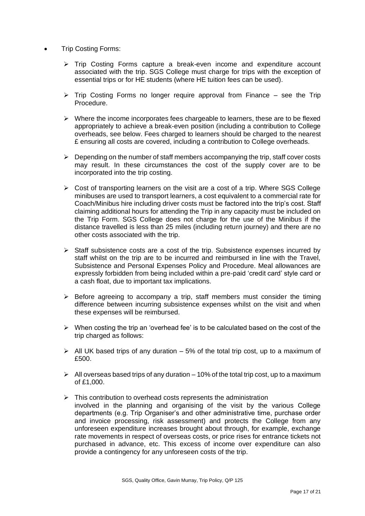- Trip Costing Forms:
	- ➢ Trip Costing Forms capture a break-even income and expenditure account associated with the trip. SGS College must charge for trips with the exception of essential trips or for HE students (where HE tuition fees can be used).
	- $\triangleright$  Trip Costing Forms no longer require approval from Finance see the Trip Procedure.
	- $\triangleright$  Where the income incorporates fees chargeable to learners, these are to be flexed appropriately to achieve a break-even position (including a contribution to College overheads, see below. Fees charged to learners should be charged to the nearest £ ensuring all costs are covered, including a contribution to College overheads.
	- $\triangleright$  Depending on the number of staff members accompanying the trip, staff cover costs may result. In these circumstances the cost of the supply cover are to be incorporated into the trip costing.
	- $\triangleright$  Cost of transporting learners on the visit are a cost of a trip. Where SGS College minibuses are used to transport learners, a cost equivalent to a commercial rate for Coach/Minibus hire including driver costs must be factored into the trip's cost. Staff claiming additional hours for attending the Trip in any capacity must be included on the Trip Form. SGS College does not charge for the use of the Minibus if the distance travelled is less than 25 miles (including return journey) and there are no other costs associated with the trip.
	- ➢ Staff subsistence costs are a cost of the trip. Subsistence expenses incurred by staff whilst on the trip are to be incurred and reimbursed in line with the Travel, Subsistence and Personal Expenses Policy and Procedure. Meal allowances are expressly forbidden from being included within a pre-paid 'credit card' style card or a cash float, due to important tax implications.
	- $\triangleright$  Before agreeing to accompany a trip, staff members must consider the timing difference between incurring subsistence expenses whilst on the visit and when these expenses will be reimbursed.
	- $\triangleright$  When costing the trip an 'overhead fee' is to be calculated based on the cost of the trip charged as follows:
	- $\triangleright$  All UK based trips of any duration 5% of the total trip cost, up to a maximum of £500.
	- $\triangleright$  All overseas based trips of any duration 10% of the total trip cost, up to a maximum of £1,000.
	- $\triangleright$  This contribution to overhead costs represents the administration involved in the planning and organising of the visit by the various College departments (e.g. Trip Organiser's and other administrative time, purchase order and invoice processing, risk assessment) and protects the College from any unforeseen expenditure increases brought about through, for example, exchange rate movements in respect of overseas costs, or price rises for entrance tickets not purchased in advance, etc. This excess of income over expenditure can also provide a contingency for any unforeseen costs of the trip.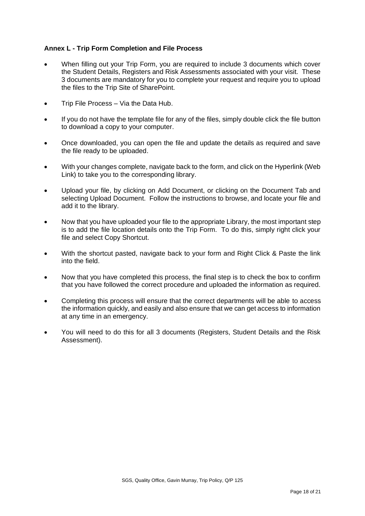### **Annex L - Trip Form Completion and File Process**

- When filling out your Trip Form, you are required to include 3 documents which cover the Student Details, Registers and Risk Assessments associated with your visit. These 3 documents are mandatory for you to complete your request and require you to upload the files to the Trip Site of SharePoint.
- Trip File Process Via the Data Hub.
- If you do not have the template file for any of the files, simply double click the file button to download a copy to your computer.
- Once downloaded, you can open the file and update the details as required and save the file ready to be uploaded.
- With your changes complete, navigate back to the form, and click on the Hyperlink (Web Link) to take you to the corresponding library.
- Upload your file, by clicking on Add Document, or clicking on the Document Tab and selecting Upload Document. Follow the instructions to browse, and locate your file and add it to the library.
- Now that you have uploaded your file to the appropriate Library, the most important step is to add the file location details onto the Trip Form. To do this, simply right click your file and select Copy Shortcut.
- With the shortcut pasted, navigate back to your form and Right Click & Paste the link into the field.
- Now that you have completed this process, the final step is to check the box to confirm that you have followed the correct procedure and uploaded the information as required.
- Completing this process will ensure that the correct departments will be able to access the information quickly, and easily and also ensure that we can get access to information at any time in an emergency.
- You will need to do this for all 3 documents (Registers, Student Details and the Risk Assessment).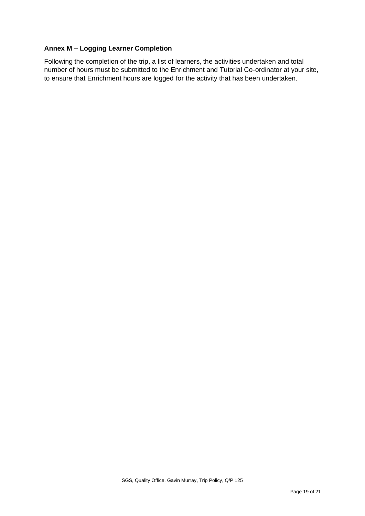## **Annex M – Logging Learner Completion**

Following the completion of the trip, a list of learners, the activities undertaken and total number of hours must be submitted to the Enrichment and Tutorial Co-ordinator at your site, to ensure that Enrichment hours are logged for the activity that has been undertaken.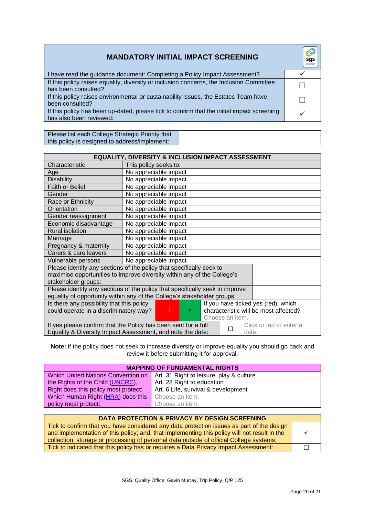| <b>MANDATORY INITIAL IMPACT SCREENING</b>                                                                             | sgs<br>South Clousanson's<br>and Street College |
|-----------------------------------------------------------------------------------------------------------------------|-------------------------------------------------|
| I have read the guidance document: Completing a Policy Impact Assessment?                                             |                                                 |
| If this policy raises equality, diversity or inclusion concerns, the Inclusion Committee<br>has been consulted?       |                                                 |
| If this policy raises environmental or sustainability issues, the Estates Team have<br>been consulted?                |                                                 |
| If this policy has been up-dated, please tick to confirm that the initial impact screening<br>has also been reviewed: |                                                 |

Please list each College Strategic Priority that this policy is designed to address/implement:

| <b>EQUALITY, DIVERSITY &amp; INCLUSION IMPACT ASSESSMENT</b>                                                                                                                                                  |                       |  |  |  |
|---------------------------------------------------------------------------------------------------------------------------------------------------------------------------------------------------------------|-----------------------|--|--|--|
| Characteristic                                                                                                                                                                                                | This policy seeks to: |  |  |  |
| Age                                                                                                                                                                                                           | No appreciable impact |  |  |  |
| <b>Disability</b>                                                                                                                                                                                             | No appreciable impact |  |  |  |
| Faith or Belief                                                                                                                                                                                               | No appreciable impact |  |  |  |
| Gender                                                                                                                                                                                                        | No appreciable impact |  |  |  |
| Race or Ethnicity                                                                                                                                                                                             | No appreciable impact |  |  |  |
| Orientation                                                                                                                                                                                                   | No appreciable impact |  |  |  |
| Gender reassignment                                                                                                                                                                                           | No appreciable impact |  |  |  |
| Economic disadvantage                                                                                                                                                                                         | No appreciable impact |  |  |  |
| <b>Rural isolation</b>                                                                                                                                                                                        | No appreciable impact |  |  |  |
| Marriage                                                                                                                                                                                                      | No appreciable impact |  |  |  |
| Pregnancy & maternity                                                                                                                                                                                         | No appreciable impact |  |  |  |
| Carers & care leavers                                                                                                                                                                                         | No appreciable impact |  |  |  |
| Vulnerable persons                                                                                                                                                                                            | No appreciable impact |  |  |  |
| Please identify any sections of the policy that specifically seek to<br>maximise opportunities to improve diversity within any of the College's<br>stakeholder groups:                                        |                       |  |  |  |
| Please identify any sections of the policy that specifically seek to improve                                                                                                                                  |                       |  |  |  |
| equality of opportunity within any of the College's stakeholder groups:                                                                                                                                       |                       |  |  |  |
| Is there any possibility that this policy<br>If you have ticked yes (red), which<br>characteristic will be most affected?<br>could operate in a discriminatory way?<br>П<br>$\pmb{\times}$<br>Choose an item. |                       |  |  |  |
| If yes please confirm that the Policy has been sent for a full<br>Click or tap to enter a<br>Equality & Diversity Impact Assessment, and note the date:<br>date.                                              |                       |  |  |  |

**Note:** if the policy does not seek to increase diversity or improve equality you should go back and review it before submitting it for approval.

| <b>MAPPING OF FUNDAMENTAL RIGHTS</b>      |                                          |  |
|-------------------------------------------|------------------------------------------|--|
| <b>Which United Nations Convention on</b> | Art. 31 Right to leisure, play & culture |  |
| the Rights of the Child (UNCRC),          | Art. 28 Right to education               |  |
| Right does this policy most protect:      | Art. 6 Life, survival & development      |  |
| Which Human Right (HRA) does this         | Choose an item.                          |  |
| policy most protect:                      | Choose an item.                          |  |

| <b>DATA PROTECTION &amp; PRIVACY BY DESIGN SCREENING</b>                                                                                                                                                                                                                             |  |
|--------------------------------------------------------------------------------------------------------------------------------------------------------------------------------------------------------------------------------------------------------------------------------------|--|
| Tick to confirm that you have considered any data protection issues as part of the design<br>and implementation of this policy; and, that implementing this policy will not result in the<br>collection, storage or processing of personal data outside of official College systems: |  |
| Tick to indicated that this policy has or requires a Data Privacy Impact Assessment:                                                                                                                                                                                                 |  |